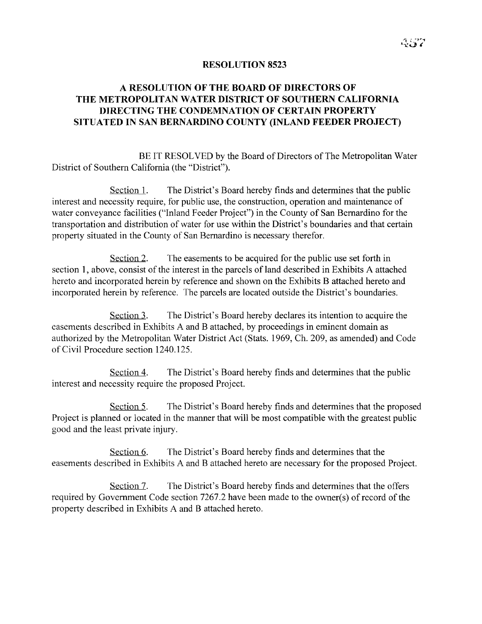### **RESOLUTION 8523**

# A **RESOLUTION OF THE BOARD OF DIRECTORS OF THE METROPOLITAN WATER DISTRICT OF SOUTHERN CALIFORNIA DIRECTING THE CONDEMNATION OF CERTAIN PROPERTY SITUATED IN** SAN **BERNARDINO COUNTY (INLAND FEEDER PROJECT)**

BE IT RESOLVED by the Board of Directors of The Metropolitan Water District of Southern California (the "District").

Section 1. The District's Board hereby finds and determines that the public interest and necessity require, for public use, the construction, operation and maintenance of water conveyance facilities ("Inland Feeder Project") in the County of San Bernardino for the transportation and distribution of water for use within the District's boundaries and that certain property situated in the County of San Bernardino is necessary therefor.

Section 2. The easements to be acquired for the public use set forth in section 1, above, consist of the interest in the parcels of land described in Exhibits A attached hereto and incorporated herein by reference and shown on the Exhibits B attached hereto and incorporated herein by reference. The parcels are located outside the District's boundaries.

Section 3. The District's Board hereby declares its intention to acquire the easements described in Exhibits A and B attached, by proceedings in eminent domain as authorized by the Metropolitan Water District Act (Stats. 1969, Ch. 209, as amended) and Code of Civil Procedure section 1240,125.

Section 4. The District's Board hereby finds and determines that the public interest and necessity require the proposed Project.

Section 5. The District's Board hereby finds and determines that the proposed Project is planned or located in the manner that will be most compatible with the greatest public good and the least private injury.

Section 6. The District's Board hereby finds and determines that the easements described in Exhibits A and B attached hereto are necessary for the proposed Project.

Section 7. The District's Board hereby finds and determines that the offers required by Government Code section 7267.2 have been made to the owner(s) of record of the property described in Exhibits A and B attached hereto.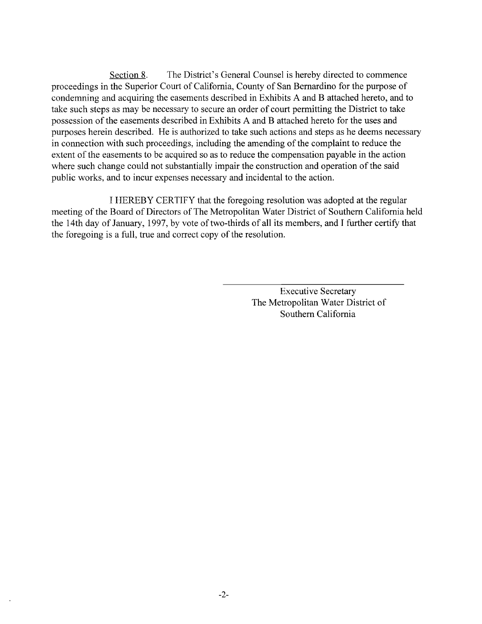Section 8. The District's General Counsel is hereby directed to commence proceedings in the Superior Court of California, County of San Bernardino for the purpose of condemning and acquiring the easements described in Exhibits A and B attached hereto, and to take such steps as may be necessary to secure an order of court permitting the District to take possession of the easements described in Exhibits A and B attached hereto for the uses and purposes herein described. He is authorized to take such actions and steps as he deems necessary in connection with such proceedings, including the amending of the complaint to reduce the extent of the easements to be acquired so as to reduce the compensation payable in the action where such change could not substantially impair the construction and operation of the said public works, and to incur expenses necessary and incidental to the action.

I HEREBY CERTIFY that the foregoing resolution was adopted at the regular meeting of the Board of Directors of The Metropolitan Water District of Southern California held the 14th day of January, 1997, by vote of two-thirds of all its members, and I further certify that the foregoing is a full, true and correct copy of the resolution.

> Executive Secretary The Metropolitan Water District of Southern California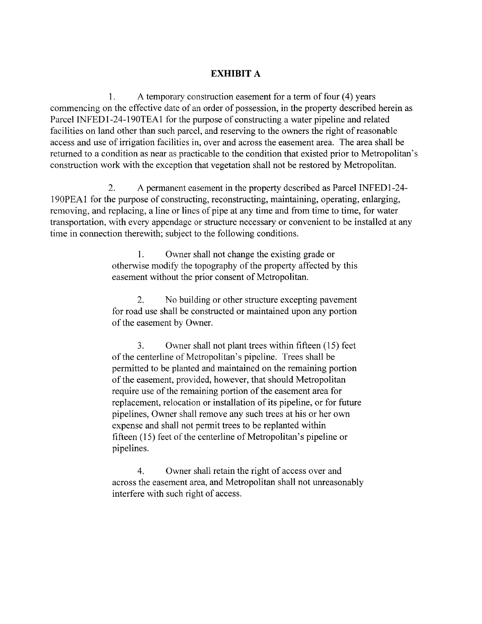## **EXHIBIT A**

1. A temporary construction easement for a term of four (4) years commencing on the effective date of an order of possession, in the property described herein as Parcel INFED1-24-190TEA1 for the purpose of constructing a water pipeline and related facilities on land other than such parcel, and reserving to the owners the right of reasonable access and use of irrigation facilities in, over and across the easement area. The area shall be returned to a condition as near as practicable to the condition that existed prior to Metropolitan's construction work with the exception that vegetation shall not be restored by Metropolitan.

2. A permanent easement in the property described as Parcel INFEDl-24- 190PEA1 for the purpose of constructing, reconstructing, maintaining, operating, enlarging, removing, and replacing, a line or lines of pipe at any time and from time to time, for water transportation, with every appendage or structure necessary or convenient to be installed at any time in connection therewith; subject to the following conditions.

> 1. Owner shall not change the existing grade or otherwise modify the topography of the property affected by this easement without the prior consent of Metropolitan.

> 2. No building or other structure excepting pavement for road use shall be constructed or maintained upon any portion of the easement by Owner.

3. Owner shall not plant trees within fifteen (15) feet of the centerline of Metropolitan's pipeline. Trees shall be permitted to be planted and maintained on the remaining portion of the easement, provided, however, that should Metropolitan require use of the remaining portion of the easement area for replacement, relocation or installation of its pipeline, or for future pipelines, Owner shall remove any such trees at his or her own expense and shall not permit trees to be replanted within fifteen  $(15)$  feet of the centerline of Metropolitan's pipeline or pipelines.

4. Owner shall retain the right of access over and across the easement area, and Metropolitan shall not unreasonably interfere with such right of access.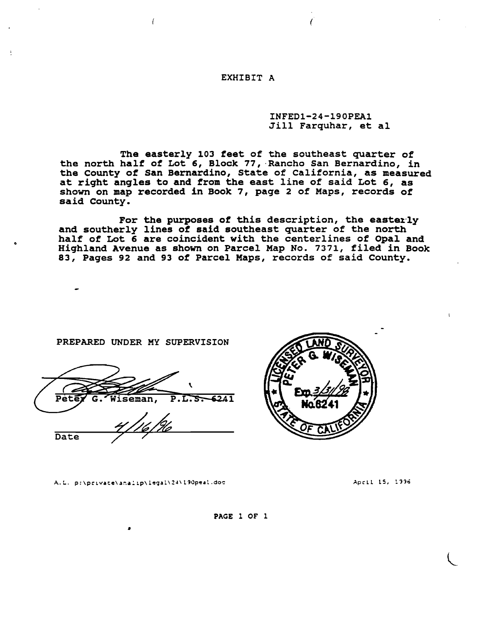#### EXHIBIT A

#### INFEDl-24-190PEA1 Jill Farquhar, et al

(

The easterly 103 feet of the southeast quarter of the north half of Lot 6, Block 77, "Rancho San Bernardino, in the County of San Bernardino, State of California, as measured at riqht anqles to and from the east line of said Lot 6, as shown on map recorded in Book 7, paqe 2 of Maps, records of said County.

For the purposes of this description, the easterly and southerly lines of said southeast quarter of the north half of Lot 6 are coincident with the centerlines of Opal and Hiqhland Avenue as shown on Parcel Map No. 7371, filed in Book 83, Pages 92 and 93 of Parcel Maps, records of said County.

PREPARED UNDER MY SUPERVISION

 $\sqrt{ }$ 

 $\ddot{\phantom{0}}$  $P.L.5 - 6241$ Þф iseman,

Date

o

A.L. p:\pcivate\analip\legal\24\190peal.doc

•



Apcil 15, 1996

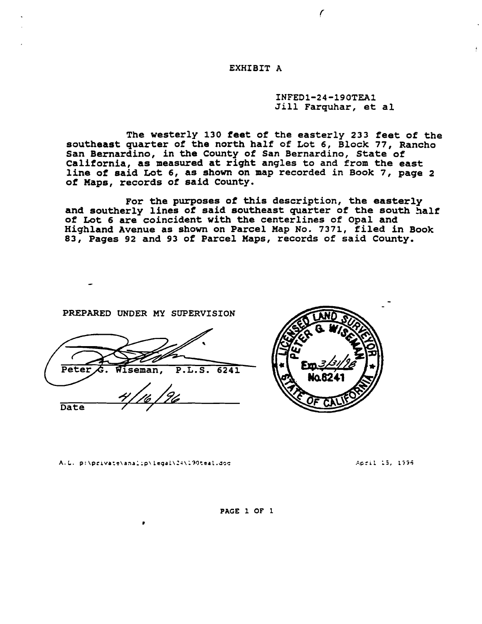EXHIBIT A

INFEDl-24-190TEAl Jill Farquhar, et al

*r*

The westerly 130 feet of the easterly 233 feet of the southeast quarter of the north half of Lot 6, Block 77, Rancho San Bernardino, in the County of San Bernardino, State of California, as measured at right angles to and from the east line of said Lot 6, as shown on map recorded in Book 7, page <sup>2</sup> of Maps, records of said County.

For the purposes of this description, the easterly and southerly lines of said southeast quarter of the south half of Lot <sup>6</sup> are coincident with the centerlines of Opal and Highland Avenue as shown on Parcel Hap No. 7371, filed in Book 83, Pages 92 and 93 of Parcel Maps, records of said County.

PREPARED UNDER MY SUPERVISION

Peter P.L.S. 6241 Iseman. *4 | 16 | 96* Date / /



A.L. p:\private\analip\legal\24\190teal.doc

•

..~.p:,i.l :3, l;;';

PAGE 1 OF 1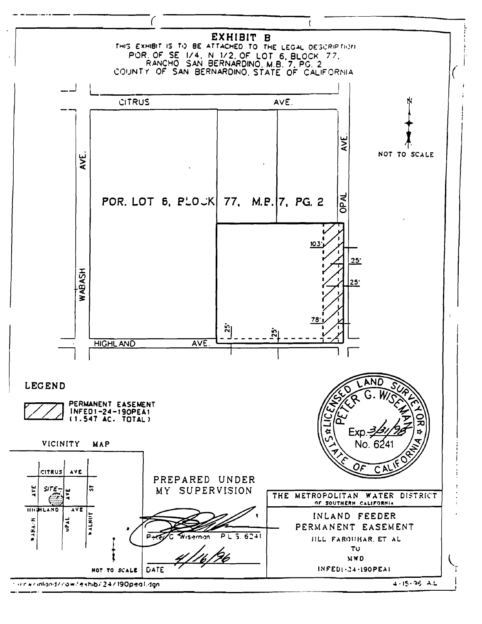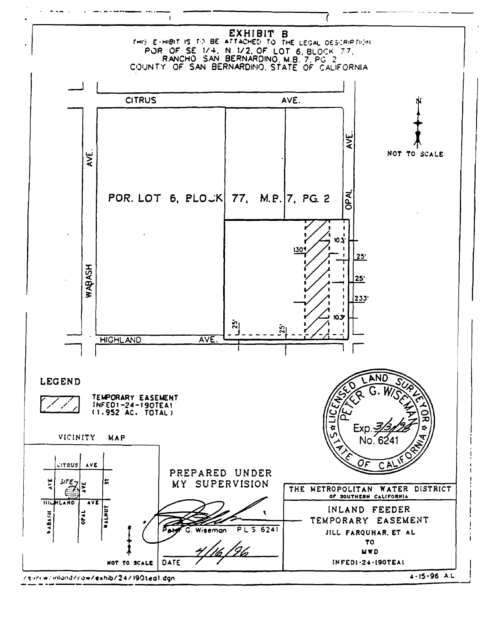